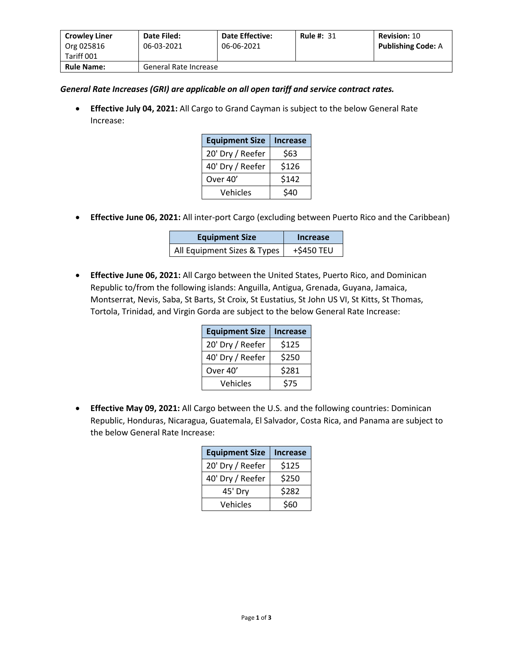| <b>Crowley Liner</b>     | Date Filed:           | <b>Date Effective:</b> | <b>Rule #: 31</b> | <b>Revision: 10</b>       |
|--------------------------|-----------------------|------------------------|-------------------|---------------------------|
| Org 025816<br>Tariff 001 | 06-03-2021            | 06-06-2021             |                   | <b>Publishing Code: A</b> |
| <b>Rule Name:</b>        | General Rate Increase |                        |                   |                           |

## *General Rate Increases (GRI) are applicable on all open tariff and service contract rates.*

• **Effective July 04, 2021:** All Cargo to Grand Cayman is subject to the below General Rate Increase:

| <b>Equipment Size</b> | <b>Increase</b> |
|-----------------------|-----------------|
| 20' Dry / Reefer      | \$63            |
| 40' Dry / Reefer      | \$126           |
| Over 40'              | \$142           |
| Vehicles              | \$40            |

• **Effective June 06, 2021:** All inter-port Cargo (excluding between Puerto Rico and the Caribbean)

| <b>Equipment Size</b>       | Increase   |  |
|-----------------------------|------------|--|
| All Equipment Sizes & Types | +\$450 TEU |  |

• **Effective June 06, 2021:** All Cargo between the United States, Puerto Rico, and Dominican Republic to/from the following islands: Anguilla, Antigua, Grenada, Guyana, Jamaica, Montserrat, Nevis, Saba, St Barts, St Croix, St Eustatius, St John US VI, St Kitts, St Thomas, Tortola, Trinidad, and Virgin Gorda are subject to the below General Rate Increase:

| <b>Equipment Size</b> | <b>Increase</b> |
|-----------------------|-----------------|
| 20' Dry / Reefer      | \$125           |
| 40' Dry / Reefer      | \$250           |
| Over 40'              | \$281           |
| Vehicles              | \$75            |

• **Effective May 09, 2021:** All Cargo between the U.S. and the following countries: Dominican Republic, Honduras, Nicaragua, Guatemala, El Salvador, Costa Rica, and Panama are subject to the below General Rate Increase:

| <b>Equipment Size</b> | <b>Increase</b> |
|-----------------------|-----------------|
| 20' Dry / Reefer      | \$125           |
| 40' Dry / Reefer      | \$250           |
| 45' Dry               | \$282           |
| Vehicles              | \$60            |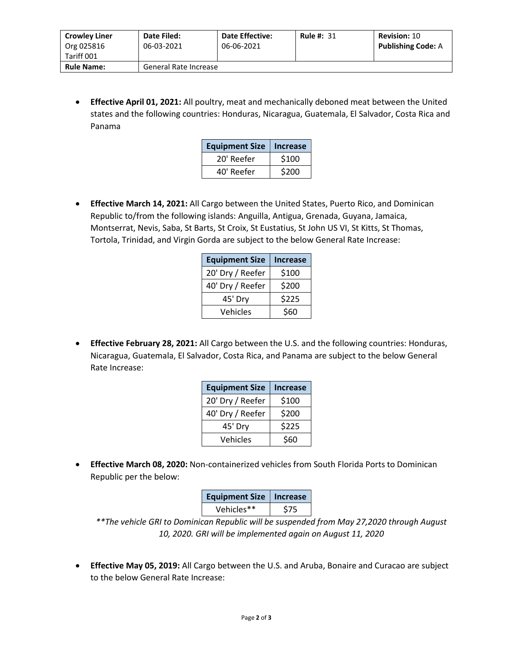| <b>Crowley Liner</b><br>Org 025816 | Date Filed:<br>06-03-2021 | <b>Date Effective:</b><br>06-06-2021 | <b>Rule #: 31</b> | <b>Revision: 10</b><br><b>Publishing Code: A</b> |
|------------------------------------|---------------------------|--------------------------------------|-------------------|--------------------------------------------------|
| Tariff 001                         |                           |                                      |                   |                                                  |
| <b>Rule Name:</b>                  | General Rate Increase     |                                      |                   |                                                  |

• **Effective April 01, 2021:** All poultry, meat and mechanically deboned meat between the United states and the following countries: Honduras, Nicaragua, Guatemala, El Salvador, Costa Rica and Panama

| <b>Equipment Size</b> | Increase |
|-----------------------|----------|
| 20' Reefer            | \$100    |
| 40' Reefer            | \$200    |

• **Effective March 14, 2021:** All Cargo between the United States, Puerto Rico, and Dominican Republic to/from the following islands: Anguilla, Antigua, Grenada, Guyana, Jamaica, Montserrat, Nevis, Saba, St Barts, St Croix, St Eustatius, St John US VI, St Kitts, St Thomas, Tortola, Trinidad, and Virgin Gorda are subject to the below General Rate Increase:

| <b>Equipment Size</b> | <b>Increase</b> |
|-----------------------|-----------------|
| 20' Dry / Reefer      | \$100           |
| 40' Dry / Reefer      | \$200           |
| 45' Dry               | \$225           |
| Vehicles              | \$60            |

• **Effective February 28, 2021:** All Cargo between the U.S. and the following countries: Honduras, Nicaragua, Guatemala, El Salvador, Costa Rica, and Panama are subject to the below General Rate Increase:

| <b>Equipment Size</b> | <b>Increase</b> |
|-----------------------|-----------------|
| 20' Dry / Reefer      | \$100           |
| 40' Dry / Reefer      | \$200           |
| 45' Dry               | \$225           |
| Vehicles              | \$60            |

• **Effective March 08, 2020:** Non-containerized vehicles from South Florida Ports to Dominican Republic per the below:

| <b>Equipment Size</b> | Increase   |
|-----------------------|------------|
| Vehicles**            | <b>S75</b> |

*\*\*The vehicle GRI to Dominican Republic will be suspended from May 27,2020 through August 10, 2020. GRI will be implemented again on August 11, 2020*

• **Effective May 05, 2019:** All Cargo between the U.S. and Aruba, Bonaire and Curacao are subject to the below General Rate Increase: